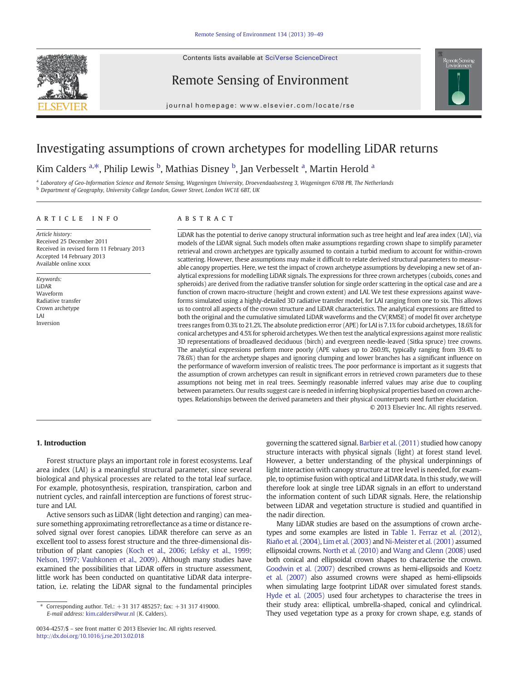Contents lists available at SciVerse ScienceDirect



Remote Sensing of Environment



journal homepage: www.elsevier.com/locate/rse

# Investigating assumptions of crown archetypes for modelling LiDAR returns

Kim Calders <sup>a,\*</sup>, Philip Lewis <sup>b</sup>, Mathias Disney <sup>b</sup>, Jan Verbesselt <sup>a</sup>, Martin Herold <sup>a</sup>

a Laboratory of Geo-Information Science and Remote Sensing, Wageningen University, Droevendaalsesteeg 3, Wageningen 6708 PB, The Netherlands **b** Department of Geography, University College London, Gower Street, London WC1E 6BT, UK

### article info abstract

Article history: Received 25 December 2011 Received in revised form 11 February 2013 Accepted 14 February 2013 Available online xxxx

Keywords: LiDAR Waveform Radiative transfer Crown archetype LAI Inversion

LiDAR has the potential to derive canopy structural information such as tree height and leaf area index (LAI), via models of the LiDAR signal. Such models often make assumptions regarding crown shape to simplify parameter retrieval and crown archetypes are typically assumed to contain a turbid medium to account for within-crown scattering. However, these assumptions may make it difficult to relate derived structural parameters to measurable canopy properties. Here, we test the impact of crown archetype assumptions by developing a new set of analytical expressions for modelling LiDAR signals. The expressions for three crown archetypes (cuboids, cones and spheroids) are derived from the radiative transfer solution for single order scattering in the optical case and are a function of crown macro-structure (height and crown extent) and LAI. We test these expressions against waveforms simulated using a highly-detailed 3D radiative transfer model, for LAI ranging from one to six. This allows us to control all aspects of the crown structure and LiDAR characteristics. The analytical expressions are fitted to both the original and the cumulative simulated LiDAR waveforms and the CV(RMSE) of model fit over archetype trees ranges from 0.3% to 21.2%. The absolute prediction error (APE) for LAI is 7.1% for cuboid archetypes, 18.6% for conical archetypes and 4.5% for spheroid archetypes. We then test the analytical expressions against more realistic 3D representations of broadleaved deciduous (birch) and evergreen needle-leaved (Sitka spruce) tree crowns. The analytical expressions perform more poorly (APE values up to 260.9%, typically ranging from 39.4% to 78.6%) than for the archetype shapes and ignoring clumping and lower branches has a significant influence on the performance of waveform inversion of realistic trees. The poor performance is important as it suggests that the assumption of crown archetypes can result in significant errors in retrieved crown parameters due to these assumptions not being met in real trees. Seemingly reasonable inferred values may arise due to coupling between parameters. Our results suggest care is needed in inferring biophysical properties based on crown archetypes. Relationships between the derived parameters and their physical counterparts need further elucidation. © 2013 Elsevier Inc. All rights reserved.

# 1. Introduction

Forest structure plays an important role in forest ecosystems. Leaf area index (LAI) is a meaningful structural parameter, since several biological and physical processes are related to the total leaf surface. For example, photosynthesis, respiration, transpiration, carbon and nutrient cycles, and rainfall interception are functions of forest structure and LAI.

Active sensors such as LiDAR (light detection and ranging) can measure something approximating retroreflectance as a time or distance resolved signal over forest canopies. LiDAR therefore can serve as an excellent tool to assess forest structure and the three-dimensional distribution of plant canopies [\(Koch et al., 2006; Lefsky et al., 1999;](#page-10-0) [Nelson, 1997; Vauhkonen et al., 2009](#page-10-0)). Although many studies have examined the possibilities that LiDAR offers in structure assessment, little work has been conducted on quantitative LiDAR data interpretation, i.e. relating the LiDAR signal to the fundamental principles

governing the scattered signal. [Barbier et al. \(2011\)](#page-10-0) studied how canopy structure interacts with physical signals (light) at forest stand level. However, a better understanding of the physical underpinnings of light interaction with canopy structure at tree level is needed, for example, to optimise fusion with optical and LiDAR data. In this study, we will therefore look at single tree LiDAR signals in an effort to understand the information content of such LiDAR signals. Here, the relationship between LiDAR and vegetation structure is studied and quantified in the nadir direction.

Many LiDAR studies are based on the assumptions of crown archetypes and some examples are listed in [Table 1](#page-1-0). [Ferraz et al. \(2012\),](#page-10-0) [Riaño et al. \(2004\)](#page-10-0), [Lim et al. \(2003\)](#page-10-0) and [Ni-Meister et al. \(2001\)](#page-10-0) assumed ellipsoidal crowns. [North et al. \(2010\)](#page-10-0) and [Wang and Glenn \(2008\)](#page-10-0) used both conical and ellipsoidal crown shapes to characterise the crown. [Goodwin et al. \(2007\)](#page-10-0) described crowns as hemi-ellipsoids and [Koetz](#page-10-0) [et al. \(2007\)](#page-10-0) also assumed crowns were shaped as hemi-ellipsoids when simulating large footprint LiDAR over simulated forest stands. [Hyde et al. \(2005\)](#page-10-0) used four archetypes to characterise the trees in their study area: elliptical, umbrella-shaped, conical and cylindrical. They used vegetation type as a proxy for crown shape, e.g. stands of

<sup>⁎</sup> Corresponding author. Tel.: +31 317 485257; fax: +31 317 419000. E-mail address: [kim.calders@wur.nl](mailto:kim.calders@wur.nl) (K. Calders).

<sup>0034-4257/\$</sup> – see front matter © 2013 Elsevier Inc. All rights reserved. <http://dx.doi.org/10.1016/j.rse.2013.02.018>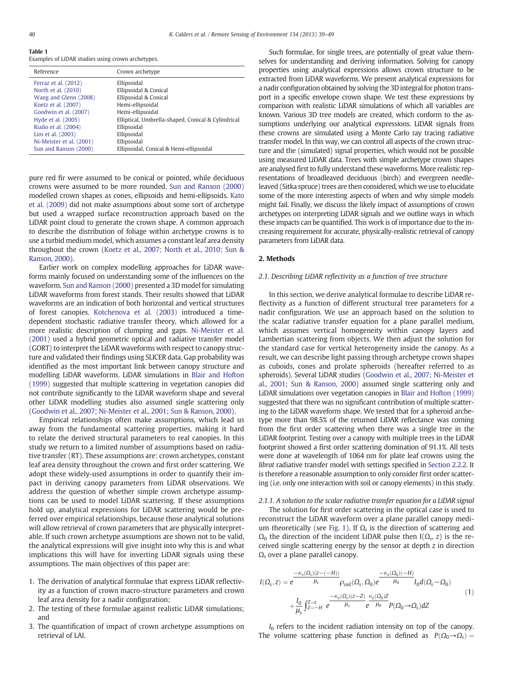<span id="page-1-0"></span>

| Table 1                                           |  |
|---------------------------------------------------|--|
| Examples of LiDAR studies using crown archetypes. |  |

| Reference                | Crown archetype                                    |
|--------------------------|----------------------------------------------------|
| Ferraz et al. (2012)     | Ellipsoidal                                        |
| North et al. (2010)      | Ellipsoidal & Conical                              |
| Wang and Glenn (2008)    | Ellipsoidal & Conical                              |
| Koetz et al. (2007)      | Hemi-ellipsoidal                                   |
| Goodwin et al. (2007)    | Hemi-ellipsoidal                                   |
| Hyde et al. (2005)       | Elliptical, Umbrella-shaped, Conical & Cylindrical |
| Riaño et al. (2004)      | Ellipsoidal                                        |
| Lim et al. (2003)        | Ellipsoidal                                        |
| Ni-Meister et al. (2001) | Ellipsoidal                                        |
| Sun and Ranson (2000)    | Ellipsoidal, Conical & Hemi-ellipsoidal            |
|                          |                                                    |

pure red fir were assumed to be conical or pointed, while deciduous crowns were assumed to be more rounded. [Sun and Ranson \(2000\)](#page-10-0) modelled crown shapes as cones, ellipsoids and hemi-ellipsoids. [Kato](#page-10-0) [et al. \(2009\)](#page-10-0) did not make assumptions about some sort of archetype but used a wrapped surface reconstruction approach based on the LiDAR point cloud to generate the crown shape. A common approach to describe the distribution of foliage within archetype crowns is to use a turbid medium model, which assumes a constant leaf area density throughout the crown ([Koetz et al., 2007; North et al., 2010; Sun &](#page-10-0) [Ranson, 2000](#page-10-0)).

Earlier work on complex modelling approaches for LiDAR waveforms mainly focused on understanding some of the influences on the waveform. [Sun and Ranson \(2000\)](#page-10-0) presented a 3D model for simulating LiDAR waveforms from forest stands. Their results showed that LiDAR waveforms are an indication of both horizontal and vertical structures of forest canopies. [Kotchenova et al. \(2003\)](#page-10-0) introduced a timedependent stochastic radiative transfer theory, which allowed for a more realistic description of clumping and gaps. [Ni-Meister et al.](#page-10-0) [\(2001\)](#page-10-0) used a hybrid geometric optical and radiative transfer model (GORT) to interpret the LiDAR waveforms with respect to canopy structure and validated their findings using SLICER data. Gap probability was identified as the most important link between canopy structure and modelling LiDAR waveforms. LiDAR simulations in [Blair and Hofton](#page-10-0) [\(1999\)](#page-10-0) suggested that multiple scattering in vegetation canopies did not contribute significantly to the LiDAR waveform shape and several other LiDAR modelling studies also assumed single scattering only [\(Goodwin et al., 2007; Ni-Meister et al., 2001; Sun & Ranson, 2000\)](#page-10-0).

Empirical relationships often make assumptions, which lead us away from the fundamental scattering properties, making it hard to relate the derived structural parameters to real canopies. In this study we return to a limited number of assumptions based on radiative transfer (RT). These assumptions are: crown archetypes, constant leaf area density throughout the crown and first order scattering. We adopt these widely-used assumptions in order to quantify their impact in deriving canopy parameters from LiDAR observations. We address the question of whether simple crown archetype assumptions can be used to model LiDAR scattering. If these assumptions hold up, analytical expressions for LiDAR scattering would be preferred over empirical relationships, because those analytical solutions will allow retrieval of crown parameters that are physically interpretable. If such crown archetype assumptions are shown not to be valid, the analytical expressions will give insight into why this is and what implications this will have for inverting LiDAR signals using these assumptions. The main objectives of this paper are:

- 1. The derivation of analytical formulae that express LiDAR reflectivity as a function of crown macro-structure parameters and crown leaf area density for a nadir configuration;
- 2. The testing of these formulae against realistic LiDAR simulations; and
- 3. The quantification of impact of crown archetype assumptions on retrieval of LAI.

Such formulae, for single trees, are potentially of great value themselves for understanding and deriving information. Solving for canopy properties using analytical expressions allows crown structure to be extracted from LiDAR waveforms. We present analytical expressions for a nadir configuration obtained by solving the 3D integral for photon transport in a specific envelope crown shape. We test these expressions by comparison with realistic LiDAR simulations of which all variables are known. Various 3D tree models are created, which conform to the assumptions underlying our analytical expressions. LiDAR signals from these crowns are simulated using a Monte Carlo ray tracing radiative transfer model. In this way, we can control all aspects of the crown structure and the (simulated) signal properties, which would not be possible using measured LiDAR data. Trees with simple archetype crown shapes are analysed first to fully understand these waveforms. More realistic representations of broadleaved deciduous (birch) and evergreen needleleaved (Sitka spruce) trees are then considered, which we use to elucidate some of the more interesting aspects of when and why simple models might fail. Finally, we discuss the likely impact of assumptions of crown archetypes on interpreting LiDAR signals and we outline ways in which these impacts can be quantified. This work is of importance due to the increasing requirement for accurate, physically-realistic retrieval of canopy parameters from LiDAR data.

#### 2. Methods

#### 2.1. Describing LiDAR reflectivity as a function of tree structure

In this section, we derive analytical formulae to describe LiDAR reflectivity as a function of different structural tree parameters for a nadir configuration. We use an approach based on the solution to the scalar radiative transfer equation for a plane parallel medium, which assumes vertical homogeneity within canopy layers and Lambertian scattering from objects. We then adjust the solution for the standard case for vertical heterogeneity inside the canopy. As a result, we can describe light passing through archetype crown shapes as cuboids, cones and prolate spheroids (hereafter referred to as spheroids). Several LiDAR studies [\(Goodwin et al., 2007; Ni-Meister et](#page-10-0) [al., 2001; Sun & Ranson, 2000\)](#page-10-0) assumed single scattering only and LiDAR simulations over vegetation canopies in [Blair and Hofton \(1999\)](#page-10-0) suggested that there was no significant contribution of multiple scattering to the LiDAR waveform shape. We tested that for a spheroid archetype more than 98.5% of the returned LiDAR reflectance was coming from the first order scattering when there was a single tree in the LiDAR footprint. Testing over a canopy with multiple trees in the LiDAR footprint showed a first order scattering domination of 91.1%. All tests were done at wavelength of 1064 nm for plate leaf crowns using the librat radiative transfer model with settings specified in [Section 2.2.2.](#page-4-0) It is therefore a reasonable assumption to only consider first order scattering (i.e. only one interaction with soil or canopy elements) in this study.

#### 2.1.1. A solution to the scalar radiative transfer equation for a LiDAR signal

The solution for first order scattering in the optical case is used to reconstruct the LiDAR waveform over a plane parallel canopy medi-um theoretically (see [Fig. 1\)](#page-2-0). If  $\Omega_s$  is the direction of scattering and  $Ω<sub>0</sub>$  the direction of the incident LiDAR pulse then I( $Ω<sub>s</sub>$ , z) is the received single scattering energy by the sensor at depth z in direction  $\Omega_s$  over a plane parallel canopy.

$$
I(\Omega_{s}, z) = e^{-\frac{-K_{e}(\Omega_{s})(z-(-H))}{\mu_{s}}}\rho_{soil}(\Omega_{s}, \Omega_{0})e^{-\frac{-K_{e}(\Omega_{0})(-H)}{\mu_{0}}I_{0}d(\Omega_{s}-\Omega_{0})} + \frac{I_{0}}{\mu_{s}}\int_{Z=-H}^{Z=z}\frac{-K_{e}(\Omega_{s})(z-Z)}{\mu_{s}}\frac{\kappa_{e}(\Omega_{0})Z}{e^{-\mu_{0}}}\rho(\Omega_{0}\to\Omega_{s})dZ
$$
\n
$$
(1)
$$

 $I_0$  refers to the incident radiation intensity on top of the canopy. The volume scattering phase function is defined as  $P(\Omega_0 \rightarrow \Omega_s) =$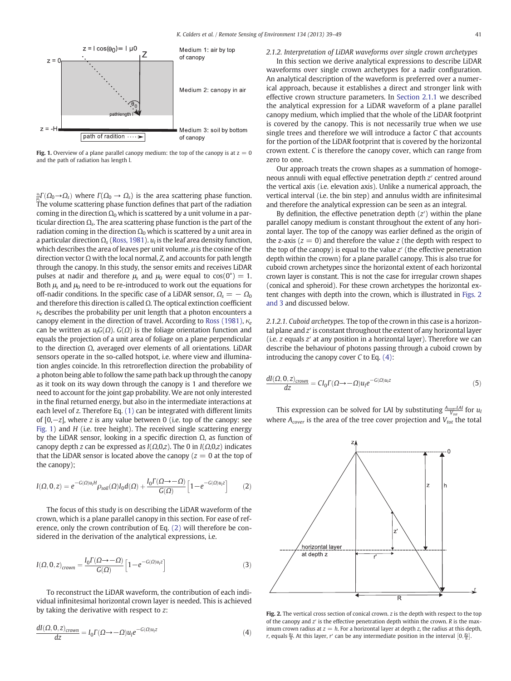<span id="page-2-0"></span>

Fig. 1. Overview of a plane parallel canopy medium: the top of the canopy is at  $z = 0$ and the path of radiation has length l.

 $\frac{u_l}{\mu_s}\Gamma(\Omega_0\to\Omega_s)$  where  $\Gamma(\Omega_0\to\Omega_s)$  is the area scattering phase function. The volume scattering phase function defines that part of the radiation coming in the direction  $\Omega_0$  which is scattered by a unit volume in a particular direction  $\Omega_{\rm s}$ . The area scattering phase function is the part of the radiation coming in the direction  $\Omega_0$  which is scattered by a unit area in a particular direction  $\Omega_s$  [\(Ross, 1981](#page-10-0)).  $u_l$  is the leaf area density function, which describes the area of leaves per unit volume.  $\mu$  is the cosine of the direction vector Ω with the local normal, Z, and accounts for path length through the canopy. In this study, the sensor emits and receives LiDAR pulses at nadir and therefore  $\mu_s$  and  $\mu_0$  were equal to  $cos(0^\circ) = 1$ . Both  $\mu_s$  and  $\mu_0$  need to be re-introduced to work out the equations for off-nadir conditions. In the specific case of a LiDAR sensor,  $\Omega_s = -\Omega_0$ and therefore this direction is called  $\Omega$ . The optical extinction coefficient  $\kappa_e$  describes the probability per unit length that a photon encounters a canopy element in the direction of travel. According to [Ross \(1981\),](#page-10-0)  $\kappa_e$ can be written as  $u_1G(\Omega)$ .  $G(\Omega)$  is the foliage orientation function and equals the projection of a unit area of foliage on a plane perpendicular to the direction Ω, averaged over elements of all orientations. LiDAR sensors operate in the so-called hotspot, i.e. where view and illumination angles coincide. In this retroreflection direction the probability of a photon being able to follow the same path back up through the canopy as it took on its way down through the canopy is 1 and therefore we need to account for the joint gap probability. We are not only interested in the final returned energy, but also in the intermediate interactions at each level of z. Therefore Eq. [\(1\)](#page-1-0) can be integrated with different limits of [0,−z], where z is any value between 0 (i.e. top of the canopy: see Fig. 1) and  $H$  (i.e. tree height). The received single scattering energy by the LiDAR sensor, looking in a specific direction Ω, as function of canopy depth z can be expressed as  $I(\Omega,0,z)$ . The 0 in  $I(\Omega,0,z)$  indicates that the LiDAR sensor is located above the canopy  $(z = 0$  at the top of the canopy);

$$
I(\Omega, 0, z) = e^{-G(\Omega)u_{l}H} \rho_{soil}(\Omega) I_{0} d(\Omega) + \frac{I_{0} \Gamma(\Omega \to -\Omega)}{G(\Omega)} \left[ 1 - e^{-G(\Omega)u_{l}z} \right]
$$
(2)

The focus of this study is on describing the LiDAR waveform of the crown, which is a plane parallel canopy in this section. For ease of reference, only the crown contribution of Eq. (2) will therefore be considered in the derivation of the analytical expressions, i.e.

$$
I(\Omega, 0, z)_{\text{crown}} = \frac{I_0 \Gamma(\Omega \to -\Omega)}{G(\Omega)} \left[ 1 - e^{-G(\Omega)u_i z} \right] \tag{3}
$$

To reconstruct the LiDAR waveform, the contribution of each individual infinitesimal horizontal crown layer is needed. This is achieved by taking the derivative with respect to z:

$$
\frac{dI(\Omega, 0, z)_{\text{crown}}}{dz} = I_0 \Gamma(\Omega \to -\Omega) u_l e^{-G(\Omega) u_l z}
$$
\n(4)

2.1.2. Interpretation of LiDAR waveforms over single crown archetypes

In this section we derive analytical expressions to describe LiDAR waveforms over single crown archetypes for a nadir configuration. An analytical description of the waveform is preferred over a numerical approach, because it establishes a direct and stronger link with effective crown structure parameters. In [Section 2.1.1](#page-1-0) we described the analytical expression for a LiDAR waveform of a plane parallel canopy medium, which implied that the whole of the LiDAR footprint is covered by the canopy. This is not necessarily true when we use single trees and therefore we will introduce a factor C that accounts for the portion of the LiDAR footprint that is covered by the horizontal crown extent. C is therefore the canopy cover, which can range from zero to one.

Our approach treats the crown shapes as a summation of homogeneous annuli with equal effective penetration depth z′ centred around the vertical axis (i.e. elevation axis). Unlike a numerical approach, the vertical interval (i.e. the bin step) and annulus width are infinitesimal and therefore the analytical expression can be seen as an integral.

By definition, the effective penetration depth  $(z')$  within the plane parallel canopy medium is constant throughout the extent of any horizontal layer. The top of the canopy was earlier defined as the origin of the z-axis ( $z = 0$ ) and therefore the value z (the depth with respect to the top of the canopy) is equal to the value z′ (the effective penetration depth within the crown) for a plane parallel canopy. This is also true for cuboid crown archetypes since the horizontal extent of each horizontal crown layer is constant. This is not the case for irregular crown shapes (conical and spheroid). For these crown archetypes the horizontal extent changes with depth into the crown, which is illustrated in Figs. 2 and 3 and discussed below.

2.1.2.1. Cuboid archetypes. The top of the crown in this case is a horizontal plane and z′ is constant throughout the extent of any horizontal layer (i.e. z equals z′ at any position in a horizontal layer). Therefore we can describe the behaviour of photons passing through a cuboid crown by introducing the canopy cover  $C$  to Eq.  $(4)$ :

$$
\frac{dI(\Omega, 0, z)_{\text{crown}}}{dz} = CI_0 \Gamma(\Omega \to -\Omega) u_l e^{-G(\Omega) u_l z} \tag{5}
$$

This expression can be solved for LAI by substituting  $\frac{A_{cover} IAI}{V_{tot}}$  for  $u_i$ where  $A_{cover}$  is the area of the tree cover projection and  $V_{tot}$  the total



Fig. 2. The vertical cross section of conical crown. z is the depth with respect to the top of the canopy and  $z'$  is the effective penetration depth within the crown.  $R$  is the maximum crown radius at  $z = h$ . For a horizontal layer at depth z, the radius at this depth, r, equals  $\frac{Rz}{h}$ . At this layer, r' can be any intermediate position in the interval  $[0, \frac{Rz}{h}]$ .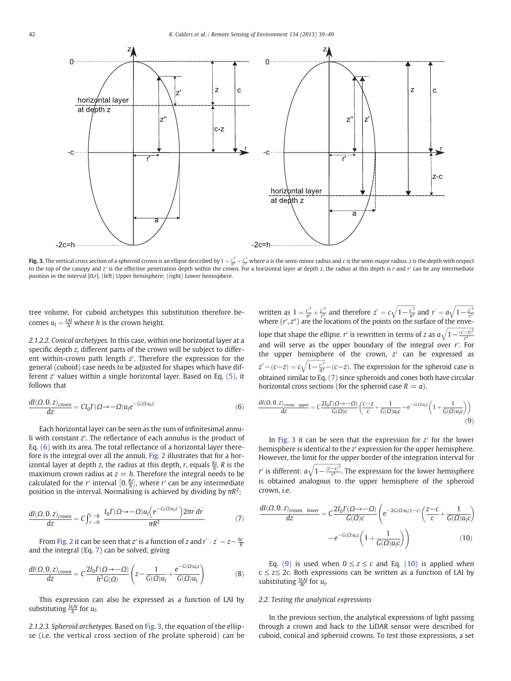

**Fig. 3.** The vertical cross section of a spheroid crown is an ellipse described by  $1 = \frac{r^2}{a^2} + \frac{z^2}{c^2}$  where a is the semi-minor radius and c is the semi-major radius. z is the depth with respect to the top of the canopy and z' is the effective penetration depth within the crown. For a horizontal layer at depth z, the radius at this depth is r and r' can be any intermediate position in the interval [0,r]. (left) Upper hemisphere; (right) Lower hemisphere.

tree volume. For cuboid archetypes this substitution therefore becomes  $u_l = \frac{LA}{h}$  where *h* is the crown height.

2.1.2.2. Conical archetypes. In this case, within one horizontal layer at a specific depth z, different parts of the crown will be subject to different within-crown path length z′. Therefore the expression for the general (cuboid) case needs to be adjusted for shapes which have different z′ values within a single horizontal layer. Based on Eq. [\(5\),](#page-2-0) it follows that

$$
\frac{dI(\Omega, 0, z)_{\text{crown}}}{dz} = CI_0 \Gamma(\Omega \to -\Omega) u_l e^{-G(\Omega) u_l z'}
$$
(6)

Each horizontal layer can be seen as the sum of infinitesimal annuli with constant z′. The reflectance of each annulus is the product of Eq. (6) with its area. The total reflectance of a horizontal layer therefore is the integral over all the annuli. [Fig. 2](#page-2-0) illustrates that for a horizontal layer at depth *z*, the radius at this depth, *r*, equals  $\frac{Rz}{h}$ . *R* is the maximum crown radius at  $z = h$ . Therefore the integral needs to be calculated for the r' interval  $[0, \frac{Rz}{h}]$ , where r' can be any intermediate position in the interval. Normalising is achieved by dividing by  $\pi R^2$ :

$$
\frac{dI(\Omega, 0, z)_{\text{crowm}}}{dz} = C \int_{r'=0}^{r' = \frac{\epsilon}{n}} \frac{I_0 \Gamma(\Omega \to -\Omega) u_l \left(e^{-G(\Omega) u_l z'}\right) 2\pi r' dr'}{\pi R^2}
$$
(7)

From [Fig. 2](#page-2-0) it can be seen that z' is a function of z and  $r'$  :  $z' = z - \frac{hr'}{R}$ and the integral (Eq. 7) can be solved, giving

$$
\frac{dI(\Omega, 0, z)_{\text{crowm}}}{dz} = C \frac{2I_0 \Gamma(\Omega \to -\Omega)}{h^2 G(\Omega)} \left( z - \frac{1}{G(\Omega)u_l} + \frac{e^{-G(\Omega)u_l z}}{G(\Omega)u_l} \right) \tag{8}
$$

This expression can also be expressed as a function of LAI by substituting  $\frac{3LAI}{h}$  for  $u_l$ .

2.1.2.3. Spheroid archetypes. Based on Fig. 3, the equation of the ellipse (i.e. the vertical cross section of the prolate spheroid) can be written as  $1 = \frac{r'^2}{a^2} + \frac{z'^2}{c^2}$  and therefore  $z'' = c\sqrt{1 - \frac{r'^2}{a^2}}$  and  $r' = a\sqrt{1 - \frac{z'^2}{c^2}}$ where  $(r', z'')$  are the locations of the points on the surface of the envelope that shape the ellipse. r' is rewritten in terms of z as  $a\sqrt{1-\frac{(c-z)^2}{c^2}}$ and will serve as the upper boundary of the integral over r′. For the upper hemisphere of the crown,  $z'$  can be expressed as  $z'' - (c - z) = c \sqrt{1 - \frac{r'^2}{a^2}} - (c - z)$ . The expression for the spheroid case is obtained similar to Eq. (7) since spheroids and cones both have circular horizontal cross sections (for the spheroid case  $R = a$ ).

$$
\frac{dI(\Omega, 0, z)_{\text{crowm, upper}}}{dz} = C \frac{2I_0 \Gamma(\Omega \to -\Omega)}{G(\Omega)c} \left( \frac{c-z}{c} + \frac{1}{G(\Omega)u_1 c} - e^{-G(\Omega)u_1 z} \left( 1 + \frac{1}{G(\Omega)u_1 c} \right) \right)
$$
(9)

In Fig. 3 it can be seen that the expression for  $z'$  for the lower hemisphere is identical to the z' expression for the upper hemisphere. However, the limit for the upper border of the integration interval for *r'* is different:  $a\sqrt{1-\frac{(z-c)^2}{c^2}}$ . The expression for the lower hemisphere is obtained analogous to the upper hemisphere of the spheroid crown, i.e.

$$
\frac{dI(\Omega, 0, z)_{\text{crown, lower}}}{dz} = C \frac{2I_0 \Gamma(\Omega \to -\Omega)}{G(\Omega)c} \left( e^{-2G(\Omega)u_l(z-c)} \left( \frac{z-c}{c} + \frac{1}{G(\Omega)u_l c} \right) - e^{-G(\Omega)u_l z} \left( 1 + \frac{1}{G(\Omega)u_l c} \right) \right) \tag{10}
$$

Eq. (9) is used when  $0 \le z \le c$  and Eq. (10) is applied when  $c \le z \le 2c$ . Both expressions can be written as a function of LAI by substituting  $\frac{3LAI}{4c}$  for  $u_l$ .

#### 2.2. Testing the analytical expressions

In the previous section, the analytical expressions of light passing through a crown and back to the LiDAR sensor were described for cuboid, conical and spheroid crowns. To test those expressions, a set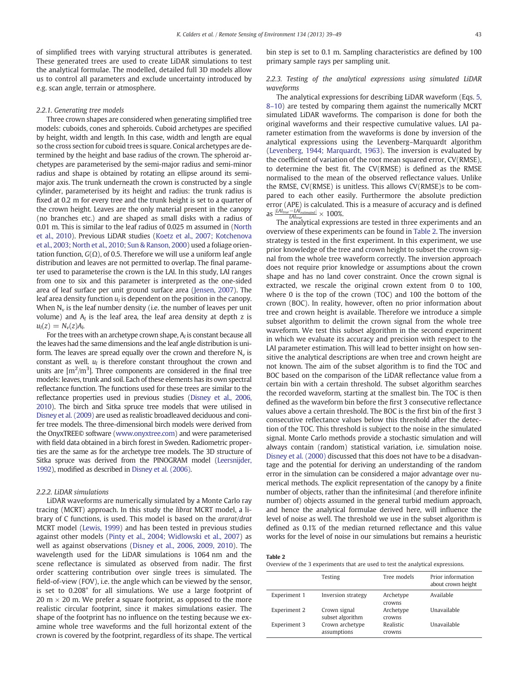<span id="page-4-0"></span>of simplified trees with varying structural attributes is generated. These generated trees are used to create LiDAR simulations to test the analytical formulae. The modelled, detailed full 3D models allow us to control all parameters and exclude uncertainty introduced by e.g. scan angle, terrain or atmosphere.

#### 2.2.1. Generating tree models

Three crown shapes are considered when generating simplified tree models: cuboids, cones and spheroids. Cuboid archetypes are specified by height, width and length. In this case, width and length are equal so the cross section for cuboid trees is square. Conical archetypes are determined by the height and base radius of the crown. The spheroid archetypes are parameterised by the semi-major radius and semi-minor radius and shape is obtained by rotating an ellipse around its semimajor axis. The trunk underneath the crown is constructed by a single cylinder, parameterised by its height and radius: the trunk radius is fixed at 0.2 m for every tree and the trunk height is set to a quarter of the crown height. Leaves are the only material present in the canopy (no branches etc.) and are shaped as small disks with a radius of 0.01 m. This is similar to the leaf radius of 0.025 m assumed in ([North](#page-10-0) [et al., 2010](#page-10-0)). Previous LiDAR studies ([Koetz et al., 2007; Kotchenova](#page-10-0) [et al., 2003; North et al., 2010; Sun & Ranson, 2000\)](#page-10-0) used a foliage orientation function,  $G(\Omega)$ , of 0.5. Therefore we will use a uniform leaf angle distribution and leaves are not permitted to overlap. The final parameter used to parameterise the crown is the LAI. In this study, LAI ranges from one to six and this parameter is interpreted as the one-sided area of leaf surface per unit ground surface area [\(Jensen, 2007](#page-10-0)). The leaf area density function  $u_l$  is dependent on the position in the canopy. When  $N_v$  is the leaf number density (i.e. the number of leaves per unit volume) and  $A_l$  is the leaf area, the leaf area density at depth z is  $u_l(z) = N_{\nu}(z)A_l$ .

For the trees with an archetype crown shape,  $A<sub>l</sub>$  is constant because all the leaves had the same dimensions and the leaf angle distribution is uniform. The leaves are spread equally over the crown and therefore  $N_v$  is constant as well.  $u_l$  is therefore constant throughout the crown and units are  $[m^2/m^3]$ . Three components are considered in the final tree models: leaves, trunk and soil. Each of these elements has its own spectral reflectance function. The functions used for these trees are similar to the reflectance properties used in previous studies [\(Disney et al., 2006,](#page-10-0) [2010\)](#page-10-0). The birch and Sitka spruce tree models that were utilised in [Disney et al. \(2009\)](#page-10-0) are used as realistic broadleaved deciduous and conifer tree models. The three-dimensional birch models were derived from the OnyxTREE© software [\(www.onyxtree.com\)](http://www.onyxtree.com) and were parameterised with field data obtained in a birch forest in Sweden. Radiometric properties are the same as for the archetype tree models. The 3D structure of Sitka spruce was derived from the PINOGRAM model [\(Leersnijder,](#page-10-0) [1992\)](#page-10-0), modified as described in [Disney et al. \(2006\)](#page-10-0).

#### 2.2.2. LiDAR simulations

LiDAR waveforms are numerically simulated by a Monte Carlo ray tracing (MCRT) approach. In this study the librat MCRT model, a library of C functions, is used. This model is based on the ararat/drat MCRT model [\(Lewis, 1999\)](#page-10-0) and has been tested in previous studies against other models [\(Pinty et al., 2004; Widlowski et al., 2007](#page-10-0)) as well as against observations ([Disney et al., 2006, 2009, 2010\)](#page-10-0). The wavelength used for the LiDAR simulations is 1064 nm and the scene reflectance is simulated as observed from nadir. The first order scattering contribution over single trees is simulated. The field-of-view (FOV), i.e. the angle which can be viewed by the sensor, is set to 0.208° for all simulations. We use a large footprint of 20 m  $\times$  20 m. We prefer a square footprint, as opposed to the more realistic circular footprint, since it makes simulations easier. The shape of the footprint has no influence on the testing because we examine whole tree waveforms and the full horizontal extent of the crown is covered by the footprint, regardless of its shape. The vertical

bin step is set to 0.1 m. Sampling characteristics are defined by 100 primary sample rays per sampling unit.

#### 2.2.3. Testing of the analytical expressions using simulated LiDAR waveforms

The analytical expressions for describing LiDAR waveform (Eqs. [5,](#page-2-0) 8–[10\)](#page-2-0) are tested by comparing them against the numerically MCRT simulated LiDAR waveforms. The comparison is done for both the original waveforms and their respective cumulative values. LAI parameter estimation from the waveforms is done by inversion of the analytical expressions using the Levenberg–Marquardt algorithm [\(Levenberg, 1944; Marquardt, 1963\)](#page-10-0). The inversion is evaluated by the coefficient of variation of the root mean squared error, CV(RMSE), to determine the best fit. The CV(RMSE) is defined as the RMSE normalised to the mean of the observed reflectance values. Unlike the RMSE, CV(RMSE) is unitless. This allows CV(RMSE)s to be compared to each other easily. Furthermore the absolute prediction error (APE) is calculated. This is a measure of accuracy and is defined as  $\frac{|LAI_{true} - LAI_{estimated}|}{LAI_{true}} \times 100\%$ .

The analytical expressions are tested in three experiments and an overview of these experiments can be found in Table 2. The inversion strategy is tested in the first experiment. In this experiment, we use prior knowledge of the tree and crown height to subset the crown signal from the whole tree waveform correctly. The inversion approach does not require prior knowledge or assumptions about the crown shape and has no land cover constraint. Once the crown signal is extracted, we rescale the original crown extent from 0 to 100, where 0 is the top of the crown (TOC) and 100 the bottom of the crown (BOC). In reality, however, often no prior information about tree and crown height is available. Therefore we introduce a simple subset algorithm to delimit the crown signal from the whole tree waveform. We test this subset algorithm in the second experiment in which we evaluate its accuracy and precision with respect to the LAI parameter estimation. This will lead to better insight on how sensitive the analytical descriptions are when tree and crown height are not known. The aim of the subset algorithm is to find the TOC and BOC based on the comparison of the LiDAR reflectance value from a certain bin with a certain threshold. The subset algorithm searches the recorded waveform, starting at the smallest bin. The TOC is then defined as the waveform bin before the first 3 consecutive reflectance values above a certain threshold. The BOC is the first bin of the first 3 consecutive reflectance values below this threshold after the detection of the TOC. This threshold is subject to the noise in the simulated signal. Monte Carlo methods provide a stochastic simulation and will always contain (random) statistical variation, i.e. simulation noise. [Disney et al. \(2000\)](#page-10-0) discussed that this does not have to be a disadvantage and the potential for deriving an understanding of the random error in the simulation can be considered a major advantage over numerical methods. The explicit representation of the canopy by a finite number of objects, rather than the infinitesimal (and therefore infinite number of) objects assumed in the general turbid medium approach, and hence the analytical formulae derived here, will influence the level of noise as well. The threshold we use in the subset algorithm is defined as 0.1% of the median returned reflectance and this value works for the level of noise in our simulations but remains a heuristic

#### Table 2

Overview of the 3 experiments that are used to test the analytical expressions.

|              | Testing                          | Tree models         | Prior information<br>about crown height |
|--------------|----------------------------------|---------------------|-----------------------------------------|
| Experiment 1 | Inversion strategy               | Archetype<br>crowns | Available                               |
| Experiment 2 | Crown signal<br>subset algorithm | Archetype<br>crowns | Unavailable                             |
| Experiment 3 | Crown archetype<br>assumptions   | Realistic<br>crowns | Unavailable                             |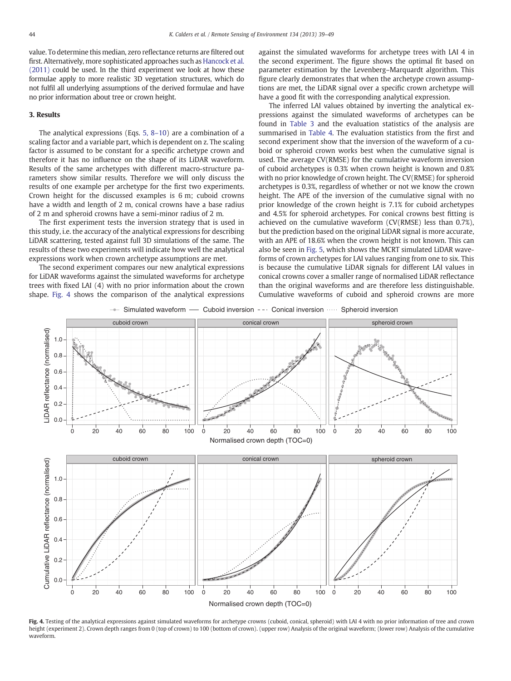value. To determine this median, zero reflectance returns are filtered out first. Alternatively, more sophisticated approaches such as [Hancock et al.](#page-10-0) [\(2011\)](#page-10-0) could be used. In the third experiment we look at how these formulae apply to more realistic 3D vegetation structures, which do not fulfil all underlying assumptions of the derived formulae and have no prior information about tree or crown height.

#### 3. Results

The analytical expressions (Eqs. [5, 8](#page-2-0)–10) are a combination of a scaling factor and a variable part, which is dependent on z. The scaling factor is assumed to be constant for a specific archetype crown and therefore it has no influence on the shape of its LiDAR waveform. Results of the same archetypes with different macro-structure parameters show similar results. Therefore we will only discuss the results of one example per archetype for the first two experiments. Crown height for the discussed examples is 6 m; cuboid crowns have a width and length of 2 m, conical crowns have a base radius of 2 m and spheroid crowns have a semi-minor radius of 2 m.

The first experiment tests the inversion strategy that is used in this study, i.e. the accuracy of the analytical expressions for describing LiDAR scattering, tested against full 3D simulations of the same. The results of these two experiments will indicate how well the analytical expressions work when crown archetype assumptions are met.

The second experiment compares our new analytical expressions for LiDAR waveforms against the simulated waveforms for archetype trees with fixed LAI (4) with no prior information about the crown shape. Fig. 4 shows the comparison of the analytical expressions against the simulated waveforms for archetype trees with LAI 4 in the second experiment. The figure shows the optimal fit based on parameter estimation by the Levenberg–Marquardt algorithm. This figure clearly demonstrates that when the archetype crown assumptions are met, the LiDAR signal over a specific crown archetype will have a good fit with the corresponding analytical expression.

The inferred LAI values obtained by inverting the analytical expressions against the simulated waveforms of archetypes can be found in [Table 3](#page-6-0) and the evaluation statistics of the analysis are summarised in [Table 4](#page-6-0). The evaluation statistics from the first and second experiment show that the inversion of the waveform of a cuboid or spheroid crown works best when the cumulative signal is used. The average CV(RMSE) for the cumulative waveform inversion of cuboid archetypes is 0.3% when crown height is known and 0.8% with no prior knowledge of crown height. The CV(RMSE) for spheroid archetypes is 0.3%, regardless of whether or not we know the crown height. The APE of the inversion of the cumulative signal with no prior knowledge of the crown height is 7.1% for cuboid archetypes and 4.5% for spheroid archetypes. For conical crowns best fitting is achieved on the cumulative waveform (CV(RMSE) less than 0.7%), but the prediction based on the original LiDAR signal is more accurate, with an APE of 18.6% when the crown height is not known. This can also be seen in [Fig. 5](#page-7-0), which shows the MCRT simulated LiDAR waveforms of crown archetypes for LAI values ranging from one to six. This is because the cumulative LiDAR signals for different LAI values in conical crowns cover a smaller range of normalised LiDAR reflectance than the original waveforms and are therefore less distinguishable. Cumulative waveforms of cuboid and spheroid crowns are more



Fig. 4. Testing of the analytical expressions against simulated waveforms for archetype crowns (cuboid, conical, spheroid) with LAI 4 with no prior information of tree and crown height (experiment 2). Crown depth ranges from 0 (top of crown) to 100 (bottom of crown). (upper row) Analysis of the original waveform; (lower row) Analysis of the cumulative waveform.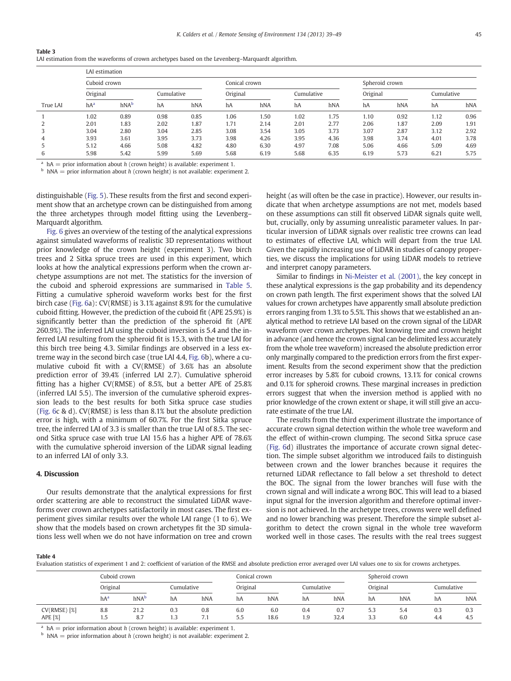<span id="page-6-0"></span>

|  | $\sim$ |
|--|--------|
|  |        |

LAI estimation from the waveforms of crown archetypes based on the Levenberg–Marquardt algorithm.

|              | LAI estimation  |                   |            |               |          |            |      |                |      |          |      |      |            |  |
|--------------|-----------------|-------------------|------------|---------------|----------|------------|------|----------------|------|----------|------|------|------------|--|
| Cuboid crown |                 |                   |            | Conical crown |          |            |      | Spheroid crown |      |          |      |      |            |  |
|              | Original        |                   | Cumulative |               | Original | Cumulative |      |                |      | Original |      |      | Cumulative |  |
| True LAI     | hA <sup>a</sup> | h <sub>NA</sub> b | hA         | hNA           | hA       | hNA        | hA   | hNA            | hA   | hNA      | hA   | hNA  |            |  |
|              | 1.02            | 0.89              | 0.98       | 0.85          | 1.06     | 1.50       | 1.02 | 1.75           | 1.10 | 0.92     | 1.12 | 0.96 |            |  |
|              | 2.01            | 1.83              | 2.02       | 1.87          | 1.71     | 2.14       | 2.01 | 2.77           | 2.06 | 1.87     | 2.09 | 1.91 |            |  |
|              | 3.04            | 2.80              | 3.04       | 2.85          | 3.08     | 3.54       | 3.05 | 3.73           | 3.07 | 2.87     | 3.12 | 2.92 |            |  |
|              | 3.93            | 3.61              | 3.95       | 3.73          | 3.98     | 4.26       | 3.95 | 4.36           | 3.98 | 3.74     | 4.01 | 3.78 |            |  |
|              | 5.12            | 4.66              | 5.08       | 4.82          | 4.80     | 6.30       | 4.97 | 7.08           | 5.06 | 4.66     | 5.09 | 4.69 |            |  |
|              | 5.98            | 5.42              | 5.99       | 5.69          | 5.68     | 6.19       | 5.68 | 6.35           | 6.19 | 5.73     | 6.21 | 5.75 |            |  |

<sup>a</sup> hA = prior information about *h* (crown height) is available: experiment 1.

 $b$  hNA = prior information about h (crown height) is not available: experiment 2.

distinguishable [\(Fig. 5\)](#page-7-0). These results from the first and second experiment show that an archetype crown can be distinguished from among the three archetypes through model fitting using the Levenberg– Marquardt algorithm.

[Fig. 6](#page-8-0) gives an overview of the testing of the analytical expressions against simulated waveforms of realistic 3D representations without prior knowledge of the crown height (experiment 3). Two birch trees and 2 Sitka spruce trees are used in this experiment, which looks at how the analytical expressions perform when the crown archetype assumptions are not met. The statistics for the inversion of the cuboid and spheroid expressions are summarised in [Table 5.](#page-9-0) Fitting a cumulative spheroid waveform works best for the first birch case [\(Fig. 6](#page-8-0)a): CV(RMSE) is 3.1% against 8.9% for the cumulative cuboid fitting. However, the prediction of the cuboid fit (APE 25.9%) is significantly better than the prediction of the spheroid fit (APE 260.9%). The inferred LAI using the cuboid inversion is 5.4 and the inferred LAI resulting from the spheroid fit is 15.3, with the true LAI for this birch tree being 4.3. Similar findings are observed in a less extreme way in the second birch case (true LAI 4.4, [Fig. 6](#page-8-0)b), where a cumulative cuboid fit with a CV(RMSE) of 3.6% has an absolute prediction error of 39.4% (inferred LAI 2.7). Cumulative spheroid fitting has a higher CV(RMSE) of 8.5%, but a better APE of 25.8% (inferred LAI 5.5). The inversion of the cumulative spheroid expression leads to the best results for both Sitka spruce case studies [\(Fig. 6c](#page-8-0) & d). CV(RMSE) is less than 8.1% but the absolute prediction error is high, with a minimum of 60.7%. For the first Sitka spruce tree, the inferred LAI of 3.3 is smaller than the true LAI of 8.5. The second Sitka spruce case with true LAI 15.6 has a higher APE of 78.6% with the cumulative spheroid inversion of the LiDAR signal leading to an inferred LAI of only 3.3.

# 4. Discussion

Our results demonstrate that the analytical expressions for first order scattering are able to reconstruct the simulated LiDAR waveforms over crown archetypes satisfactorily in most cases. The first experiment gives similar results over the whole LAI range (1 to 6). We show that the models based on crown archetypes fit the 3D simulations less well when we do not have information on tree and crown height (as will often be the case in practice). However, our results indicate that when archetype assumptions are not met, models based on these assumptions can still fit observed LiDAR signals quite well, but, crucially, only by assuming unrealistic parameter values. In particular inversion of LiDAR signals over realistic tree crowns can lead to estimates of effective LAI, which will depart from the true LAI. Given the rapidly increasing use of LiDAR in studies of canopy properties, we discuss the implications for using LiDAR models to retrieve and interpret canopy parameters.

Similar to findings in [Ni-Meister et al. \(2001\),](#page-10-0) the key concept in these analytical expressions is the gap probability and its dependency on crown path length. The first experiment shows that the solved LAI values for crown archetypes have apparently small absolute prediction errors ranging from 1.3% to 5.5%. This shows that we established an analytical method to retrieve LAI based on the crown signal of the LiDAR waveform over crown archetypes. Not knowing tree and crown height in advance (and hence the crown signal can be delimited less accurately from the whole tree waveform) increased the absolute prediction error only marginally compared to the prediction errors from the first experiment. Results from the second experiment show that the prediction error increases by 5.8% for cuboid crowns, 13.1% for conical crowns and 0.1% for spheroid crowns. These marginal increases in prediction errors suggest that when the inversion method is applied with no prior knowledge of the crown extent or shape, it will still give an accurate estimate of the true LAI.

The results from the third experiment illustrate the importance of accurate crown signal detection within the whole tree waveform and the effect of within-crown clumping. The second Sitka spruce case [\(Fig. 6](#page-8-0)d) illustrates the importance of accurate crown signal detection. The simple subset algorithm we introduced fails to distinguish between crown and the lower branches because it requires the returned LiDAR reflectance to fall below a set threshold to detect the BOC. The signal from the lower branches will fuse with the crown signal and will indicate a wrong BOC. This will lead to a biased input signal for the inversion algorithm and therefore optimal inversion is not achieved. In the archetype trees, crowns were well defined and no lower branching was present. Therefore the simple subset algorithm to detect the crown signal in the whole tree waveform worked well in those cases. The results with the real trees suggest

#### Table 4

Evaluation statistics of experiment 1 and 2: coefficient of variation of the RMSE and absolute prediction error averaged over LAI values one to six for crowns archetypes.

|                           | Cuboid crown    |                   |            |            | Conical crown |             |            |             | Spheroid crown |            |            |            |
|---------------------------|-----------------|-------------------|------------|------------|---------------|-------------|------------|-------------|----------------|------------|------------|------------|
|                           | Original        |                   | Cumulative |            | Original      |             | Cumulative |             | Original       |            | Cumulative |            |
|                           | hA <sup>a</sup> | h <sub>NA</sub> b | hA         | hNA        | hA            | hNA         | hA         | hNA         | hA             | hNA        | hA         | hNA        |
| $CV(RMSE)$ [%]<br>APE [%] | 8.8<br>1.5      | 21.2<br>8.7       | 0.3<br>1.3 | 0.8<br>7.1 | 6.0<br>5.5    | 6.0<br>18.6 | 0.4<br>1.9 | 0.7<br>32.4 | 5.3<br>3.3     | 5.4<br>6.0 | 0.3<br>4.4 | 0.3<br>4.5 |

<sup>a</sup> hA = prior information about h (crown height) is available: experiment 1.

 $b$  hNA = prior information about h (crown height) is not available: experiment 2.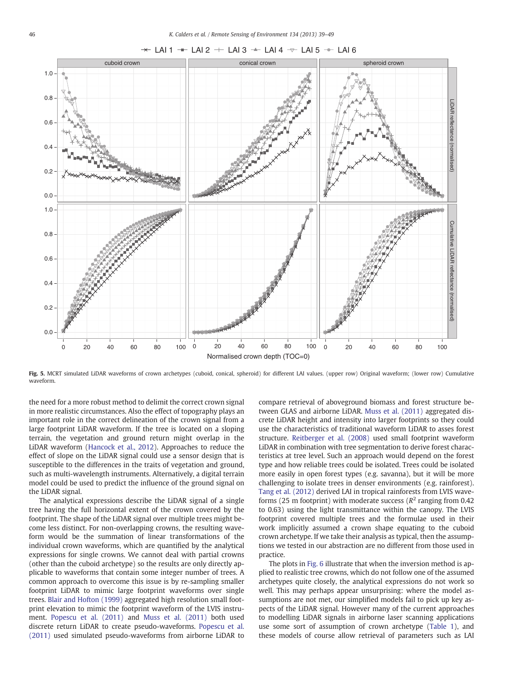<span id="page-7-0"></span>

Fig. 5. MCRT simulated LiDAR waveforms of crown archetypes (cuboid, conical, spheroid) for different LAI values. (upper row) Original waveform; (lower row) Cumulative waveform.

the need for a more robust method to delimit the correct crown signal in more realistic circumstances. Also the effect of topography plays an important role in the correct delineation of the crown signal from a large footprint LiDAR waveform. If the tree is located on a sloping terrain, the vegetation and ground return might overlap in the LiDAR waveform ([Hancock et al., 2012](#page-10-0)). Approaches to reduce the effect of slope on the LiDAR signal could use a sensor design that is susceptible to the differences in the traits of vegetation and ground, such as multi-wavelength instruments. Alternatively, a digital terrain model could be used to predict the influence of the ground signal on the LiDAR signal.

The analytical expressions describe the LiDAR signal of a single tree having the full horizontal extent of the crown covered by the footprint. The shape of the LiDAR signal over multiple trees might become less distinct. For non-overlapping crowns, the resulting waveform would be the summation of linear transformations of the individual crown waveforms, which are quantified by the analytical expressions for single crowns. We cannot deal with partial crowns (other than the cuboid archetype) so the results are only directly applicable to waveforms that contain some integer number of trees. A common approach to overcome this issue is by re-sampling smaller footprint LiDAR to mimic large footprint waveforms over single trees. [Blair and Hofton \(1999\)](#page-10-0) aggregated high resolution small footprint elevation to mimic the footprint waveform of the LVIS instrument. [Popescu et al. \(2011\)](#page-10-0) and [Muss et al. \(2011\)](#page-10-0) both used discrete return LiDAR to create pseudo-waveforms. [Popescu et al.](#page-10-0) [\(2011\)](#page-10-0) used simulated pseudo-waveforms from airborne LiDAR to compare retrieval of aboveground biomass and forest structure between GLAS and airborne LiDAR. [Muss et al. \(2011\)](#page-10-0) aggregated discrete LiDAR height and intensity into larger footprints so they could use the characteristics of traditional waveform LiDAR to asses forest structure. [Reitberger et al. \(2008\)](#page-10-0) used small footprint waveform LiDAR in combination with tree segmentation to derive forest characteristics at tree level. Such an approach would depend on the forest type and how reliable trees could be isolated. Trees could be isolated more easily in open forest types (e.g. savanna), but it will be more challenging to isolate trees in denser environments (e.g. rainforest). [Tang et al. \(2012\)](#page-10-0) derived LAI in tropical rainforests from LVIS waveforms (25 m footprint) with moderate success ( $R^2$  ranging from 0.42 to 0.63) using the light transmittance within the canopy. The LVIS footprint covered multiple trees and the formulae used in their work implicitly assumed a crown shape equating to the cuboid crown archetype. If we take their analysis as typical, then the assumptions we tested in our abstraction are no different from those used in practice.

The plots in [Fig. 6](#page-8-0) illustrate that when the inversion method is applied to realistic tree crowns, which do not follow one of the assumed archetypes quite closely, the analytical expressions do not work so well. This may perhaps appear unsurprising: where the model assumptions are not met, our simplified models fail to pick up key aspects of the LiDAR signal. However many of the current approaches to modelling LiDAR signals in airborne laser scanning applications use some sort of assumption of crown archetype [\(Table 1\)](#page-1-0), and these models of course allow retrieval of parameters such as LAI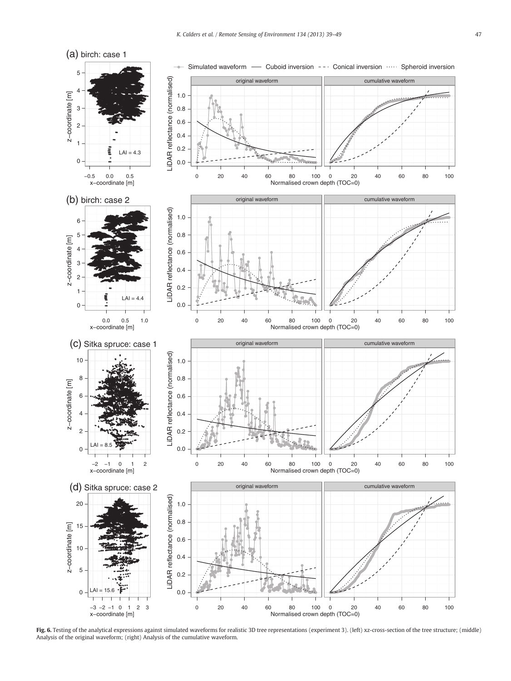<span id="page-8-0"></span>

Fig. 6. Testing of the analytical expressions against simulated waveforms for realistic 3D tree representations (experiment 3). (left) xz-cross-section of the tree structure; (middle) Analysis of the original waveform; (right) Analysis of the cumulative waveform.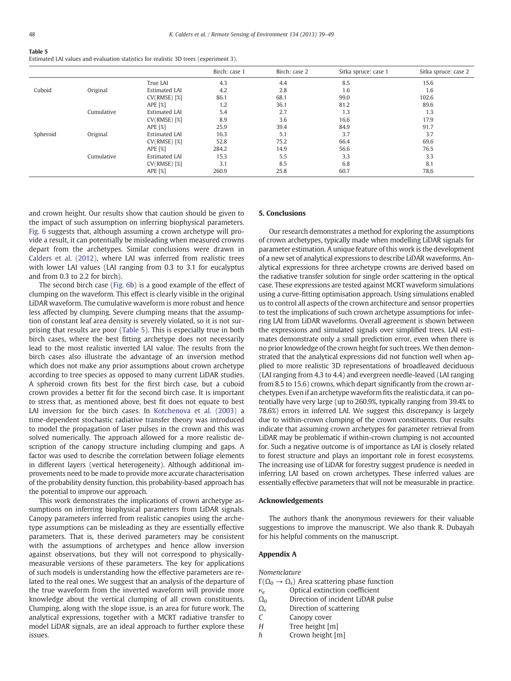#### <span id="page-9-0"></span>Table 5

Estimated LAI values and evaluation statistics for realistic 3D trees (experiment 3).

|          |            |                      | Birch: case 1 | Birch: case 2 | Sitka spruce: case 1 | Sitka spruce: case 2 |
|----------|------------|----------------------|---------------|---------------|----------------------|----------------------|
|          |            | True LAI             | 4.3           | 4.4           | 8.5                  | 15.6                 |
| Cuboid   | Original   | <b>Estimated LAI</b> | 4.2           | 2.8           | 1.6                  | 1.6                  |
|          |            | $CV(RMSE)$ [%]       | 86.1          | 68.1          | 99.0                 | 102.6                |
|          |            | APE $[%]$            | 1.2           | 36.1          | 81.2                 | 89.6                 |
|          | Cumulative | <b>Estimated LAI</b> | 5.4           | 2.7           | 1.3                  | 1.3                  |
|          |            | $CV(RMSE)$ [%]       | 8.9           | 3.6           | 16.6                 | 17.9                 |
|          |            | APE $[%]$            | 25.9          | 39.4          | 84.9                 | 91.7                 |
| Spheroid | Original   | <b>Estimated LAI</b> | 16.3          | 5.1           | 3.7                  | 3.7                  |
|          |            | $CV(RMSE)$ [%]       | 52.8          | 75.2          | 66.4                 | 69.6                 |
|          |            | APE $[%]$            | 284.2         | 14.9          | 56.6                 | 76.5                 |
|          | Cumulative | <b>Estimated LAI</b> | 15.3          | 5.5           | 3.3                  | 3.3                  |
|          |            | $CV(RMSE)$ [%]       | 3.1           | 8.5           | 6.8                  | 8.1                  |
|          |            | APE [%]              | 260.9         | 25.8          | 60.7                 | 78.6                 |

and crown height. Our results show that caution should be given to the impact of such assumption on inferring biophysical parameters. [Fig. 6](#page-8-0) suggests that, although assuming a crown archetype will provide a result, it can potentially be misleading when measured crowns depart from the archetypes. Similar conclusions were drawn in [Calders et al. \(2012\),](#page-10-0) where LAI was inferred from realistic trees with lower LAI values (LAI ranging from 0.3 to 3.1 for eucalyptus and from 0.3 to 2.2 for birch).

The second birch case [\(Fig. 6b](#page-8-0)) is a good example of the effect of clumping on the waveform. This effect is clearly visible in the original LiDAR waveform. The cumulative waveform is more robust and hence less affected by clumping. Severe clumping means that the assumption of constant leaf area density is severely violated, so it is not surprising that results are poor (Table 5). This is especially true in both birch cases, where the best fitting archetype does not necessarily lead to the most realistic inverted LAI value. The results from the birch cases also illustrate the advantage of an inversion method which does not make any prior assumptions about crown archetype according to tree species as opposed to many current LiDAR studies. A spheroid crown fits best for the first birch case, but a cuboid crown provides a better fit for the second birch case. It is important to stress that, as mentioned above, best fit does not equate to best LAI inversion for the birch cases. In [Kotchenova et al. \(2003\)](#page-10-0) a time-dependent stochastic radiative transfer theory was introduced to model the propagation of laser pulses in the crown and this was solved numerically. The approach allowed for a more realistic description of the canopy structure including clumping and gaps. A factor was used to describe the correlation between foliage elements in different layers (vertical heterogeneity). Although additional improvements need to be made to provide more accurate characterisation of the probability density function, this probability-based approach has the potential to improve our approach.

This work demonstrates the implications of crown archetype assumptions on inferring biophysical parameters from LiDAR signals. Canopy parameters inferred from realistic canopies using the archetype assumptions can be misleading as they are essentially effective parameters. That is, these derived parameters may be consistent with the assumptions of archetypes and hence allow inversion against observations, but they will not correspond to physicallymeasurable versions of these parameters. The key for applications of such models is understanding how the effective parameters are related to the real ones. We suggest that an analysis of the departure of the true waveform from the inverted waveform will provide more knowledge about the vertical clumping of all crown constituents. Clumping, along with the slope issue, is an area for future work. The analytical expressions, together with a MCRT radiative transfer to model LiDAR signals, are an ideal approach to further explore these issues.

## 5. Conclusions

Our research demonstrates a method for exploring the assumptions of crown archetypes, typically made when modelling LiDAR signals for parameter estimation. A unique feature of this work is the development of a new set of analytical expressions to describe LiDAR waveforms. Analytical expressions for three archetype crowns are derived based on the radiative transfer solution for single order scattering in the optical case. These expressions are tested against MCRT waveform simulations using a curve-fitting optimisation approach. Using simulations enabled us to control all aspects of the crown architecture and sensor properties to test the implications of such crown archetype assumptions for inferring LAI from LiDAR waveforms. Overall agreement is shown between the expressions and simulated signals over simplified trees. LAI estimates demonstrate only a small prediction error, even when there is no prior knowledge of the crown height for such trees. We then demonstrated that the analytical expressions did not function well when applied to more realistic 3D representations of broadleaved deciduous (LAI ranging from 4.3 to 4.4) and evergreen needle-leaved (LAI ranging from 8.5 to 15.6) crowns, which depart significantly from the crown archetypes. Even if an archetype waveform fits the realistic data, it can potentially have very large (up to 260.9%, typically ranging from 39.4% to 78.6%) errors in inferred LAI. We suggest this discrepancy is largely due to within-crown clumping of the crown constituents. Our results indicate that assuming crown archetypes for parameter retrieval from LiDAR may be problematic if within-crown clumping is not accounted for. Such a negative outcome is of importance as LAI is closely related to forest structure and plays an important role in forest ecosystems. The increasing use of LiDAR for forestry suggest prudence is needed in inferring LAI based on crown archetypes. These inferred values are essentially effective parameters that will not be measurable in practice.

#### Acknowledgements

The authors thank the anonymous reviewers for their valuable suggestions to improve the manuscript. We also thank R. Dubayah for his helpful comments on the manuscript.

# Appendix A

# Nomenclature

 $Γ(Ω<sub>0</sub> → Ω<sub>s</sub>)$  Area scattering phase function

- $\kappa_e$  Optical extinction coefficient
- $\Omega_0$  Direction of incident LiDAR pulse
- $\Omega$ <sub>s</sub> Direction of scattering
- C Canopy cover
- H Tree height [m]
- h Crown height [m]